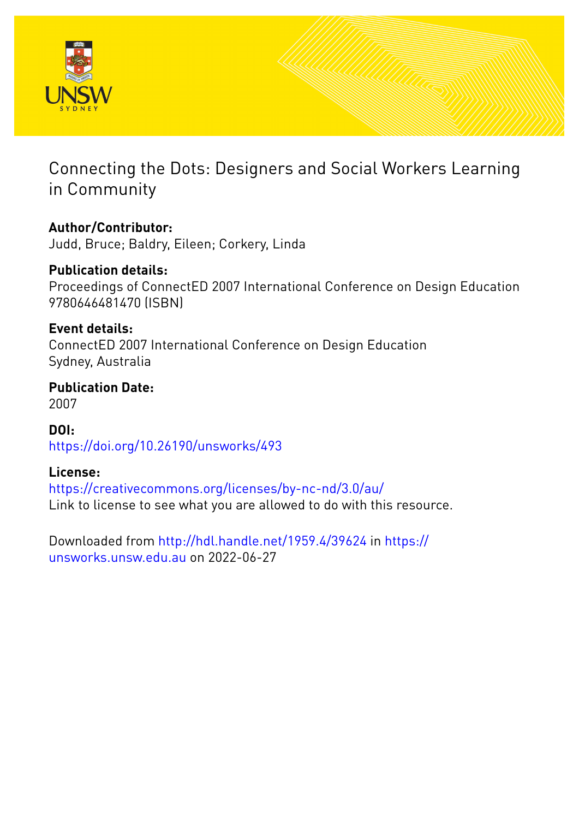

# Connecting the Dots: Designers and Social Workers Learning in Community

## **Author/Contributor:**

Judd, Bruce; Baldry, Eileen; Corkery, Linda

## **Publication details:**

Proceedings of ConnectED 2007 International Conference on Design Education 9780646481470 (ISBN)

### **Event details:**

ConnectED 2007 International Conference on Design Education Sydney, Australia

### **Publication Date:** 2007

**DOI:** [https://doi.org/10.26190/unsworks/493](http://dx.doi.org/https://doi.org/10.26190/unsworks/493)

### **License:**

<https://creativecommons.org/licenses/by-nc-nd/3.0/au/> Link to license to see what you are allowed to do with this resource.

Downloaded from <http://hdl.handle.net/1959.4/39624> in [https://](https://unsworks.unsw.edu.au) [unsworks.unsw.edu.au](https://unsworks.unsw.edu.au) on 2022-06-27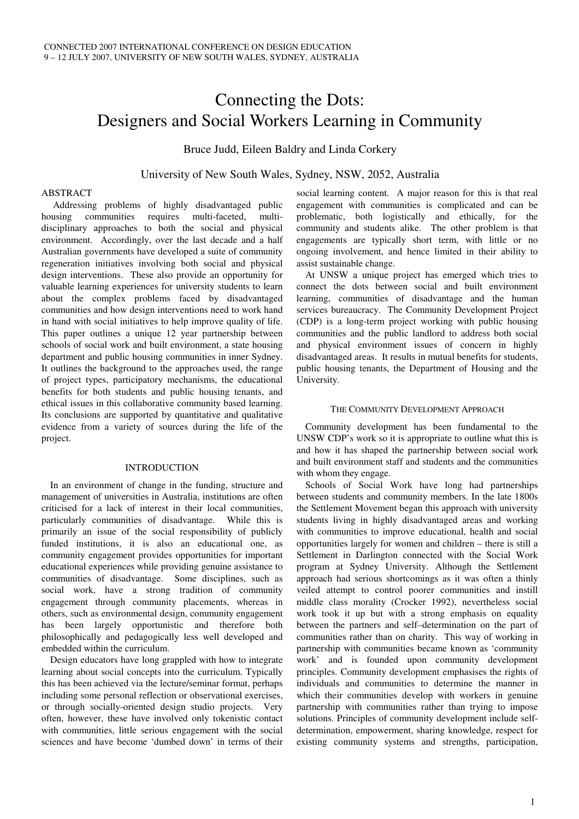# Connecting the Dots: Designers and Social Workers Learning in Community

Bruce Judd, Eileen Baldry and Linda Corkery

#### University of New South Wales, Sydney, NSW, 2052, Australia

#### ABSTRACT

Addressing problems of highly disadvantaged public housing communities requires multi-faceted, multidisciplinary approaches to both the social and physical environment. Accordingly, over the last decade and a half Australian governments have developed a suite of community regeneration initiatives involving both social and physical design interventions. These also provide an opportunity for valuable learning experiences for university students to learn about the complex problems faced by disadvantaged communities and how design interventions need to work hand in hand with social initiatives to help improve quality of life. This paper outlines a unique 12 year partnership between schools of social work and built environment, a state housing department and public housing communities in inner Sydney. It outlines the background to the approaches used, the range of project types, participatory mechanisms, the educational benefits for both students and public housing tenants, and ethical issues in this collaborative community based learning. Its conclusions are supported by quantitative and qualitative evidence from a variety of sources during the life of the project.

#### INTRODUCTION

In an environment of change in the funding, structure and management of universities in Australia, institutions are often criticised for a lack of interest in their local communities, particularly communities of disadvantage. While this is primarily an issue of the social responsibility of publicly funded institutions, it is also an educational one, as community engagement provides opportunities for important educational experiences while providing genuine assistance to communities of disadvantage. Some disciplines, such as social work, have a strong tradition of community engagement through community placements, whereas in others, such as environmental design, community engagement has been largely opportunistic and therefore both philosophically and pedagogically less well developed and embedded within the curriculum.

Design educators have long grappled with how to integrate learning about social concepts into the curriculum. Typically this has been achieved via the lecture/seminar format, perhaps including some personal reflection or observational exercises, or through socially-oriented design studio projects. Very often, however, these have involved only tokenistic contact with communities, little serious engagement with the social sciences and have become 'dumbed down' in terms of their

social learning content. A major reason for this is that real engagement with communities is complicated and can be problematic, both logistically and ethically, for the community and students alike. The other problem is that engagements are typically short term, with little or no ongoing involvement, and hence limited in their ability to assist sustainable change.

At UNSW a unique project has emerged which tries to connect the dots between social and built environment learning, communities of disadvantage and the human services bureaucracy. The Community Development Project (CDP) is a long-term project working with public housing communities and the public landlord to address both social and physical environment issues of concern in highly disadvantaged areas. It results in mutual benefits for students, public housing tenants, the Department of Housing and the University.

#### THE COMMUNITY DEVELOPMENT APPROACH

Community development has been fundamental to the UNSW CDP's work so it is appropriate to outline what this is and how it has shaped the partnership between social work and built environment staff and students and the communities with whom they engage.

Schools of Social Work have long had partnerships between students and community members. In the late 1800s the Settlement Movement began this approach with university students living in highly disadvantaged areas and working with communities to improve educational, health and social opportunities largely for women and children – there is still a Settlement in Darlington connected with the Social Work program at Sydney University. Although the Settlement approach had serious shortcomings as it was often a thinly veiled attempt to control poorer communities and instill middle class morality (Crocker 1992), nevertheless social work took it up but with a strong emphasis on equality between the partners and self–determination on the part of communities rather than on charity. This way of working in partnership with communities became known as 'community work' and is founded upon community development principles. Community development emphasises the rights of individuals and communities to determine the manner in which their communities develop with workers in genuine partnership with communities rather than trying to impose solutions. Principles of community development include selfdetermination, empowerment, sharing knowledge, respect for existing community systems and strengths, participation,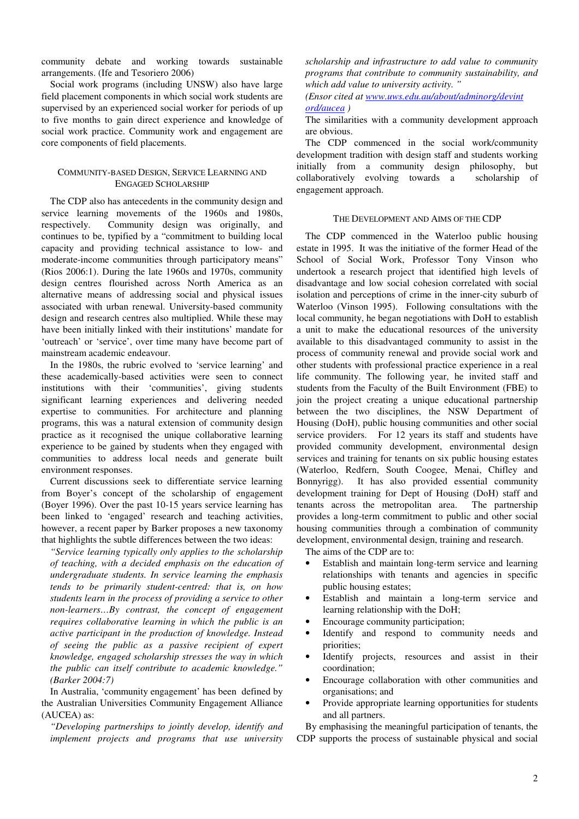community debate and working towards sustainable arrangements. (Ife and Tesoriero 2006)

Social work programs (including UNSW) also have large field placement components in which social work students are supervised by an experienced social worker for periods of up to five months to gain direct experience and knowledge of social work practice. Community work and engagement are core components of field placements.

#### COMMUNITY-BASED DESIGN, SERVICE LEARNING AND ENGAGED SCHOLARSHIP

The CDP also has antecedents in the community design and service learning movements of the 1960s and 1980s, respectively. Community design was originally, and continues to be, typified by a "commitment to building local capacity and providing technical assistance to low- and moderate-income communities through participatory means" (Rios 2006:1). During the late 1960s and 1970s, community design centres flourished across North America as an alternative means of addressing social and physical issues associated with urban renewal. University-based community design and research centres also multiplied. While these may have been initially linked with their institutions' mandate for 'outreach' or 'service', over time many have become part of mainstream academic endeavour.

In the 1980s, the rubric evolved to 'service learning' and these academically-based activities were seen to connect institutions with their 'communities', giving students significant learning experiences and delivering needed expertise to communities. For architecture and planning programs, this was a natural extension of community design practice as it recognised the unique collaborative learning experience to be gained by students when they engaged with communities to address local needs and generate built environment responses.

Current discussions seek to differentiate service learning from Boyer's concept of the scholarship of engagement (Boyer 1996). Over the past 10-15 years service learning has been linked to 'engaged' research and teaching activities, however, a recent paper by Barker proposes a new taxonomy that highlights the subtle differences between the two ideas:

*"Service learning typically only applies to the scholarship of teaching, with a decided emphasis on the education of undergraduate students. In service learning the emphasis tends to be primarily student-centred: that is, on how students learn in the process of providing a service to other non-learners…By contrast, the concept of engagement requires collaborative learning in which the public is an active participant in the production of knowledge. Instead of seeing the public as a passive recipient of expert knowledge, engaged scholarship stresses the way in which the public can itself contribute to academic knowledge." (Barker 2004:7)*

In Australia, 'community engagement' has been defined by the Australian Universities Community Engagement Alliance (AUCEA) as:

*"Developing partnerships to jointly develop, identify and implement projects and programs that use university*

*scholarship and infrastructure to add value to community programs that contribute to community sustainability, and which add value to university activity. "*

*(Ensor cited at www.uws.edu.au/about/adminorg/devint ord/aucea )*

The similarities with a community development approach are obvious.

The CDP commenced in the social work/community development tradition with design staff and students working initially from a community design philosophy, but collaboratively evolving towards a scholarship of engagement approach.

#### THE DEVELOPMENT AND AIMS OF THE CDP

The CDP commenced in the Waterloo public housing estate in 1995. It was the initiative of the former Head of the School of Social Work, Professor Tony Vinson who undertook a research project that identified high levels of disadvantage and low social cohesion correlated with social isolation and perceptions of crime in the inner-city suburb of Waterloo (Vinson 1995). Following consultations with the local community, he began negotiations with DoH to establish a unit to make the educational resources of the university available to this disadvantaged community to assist in the process of community renewal and provide social work and other students with professional practice experience in a real life community. The following year, he invited staff and students from the Faculty of the Built Environment (FBE) to join the project creating a unique educational partnership between the two disciplines, the NSW Department of Housing (DoH), public housing communities and other social service providers. For 12 years its staff and students have provided community development, environmental design services and training for tenants on six public housing estates (Waterloo, Redfern, South Coogee, Menai, Chifley and Bonnyrigg). It has also provided essential community development training for Dept of Housing (DoH) staff and tenants across the metropolitan area. The partnership provides a long-term commitment to public and other social housing communities through a combination of community development, environmental design, training and research.

The aims of the CDP are to:

- Establish and maintain long-term service and learning relationships with tenants and agencies in specific public housing estates;
- Establish and maintain a long-term service and learning relationship with the DoH;
- Encourage community participation;
- Identify and respond to community needs and priorities;
- Identify projects, resources and assist in their coordination;
- Encourage collaboration with other communities and organisations; and
- Provide appropriate learning opportunities for students and all partners.

By emphasising the meaningful participation of tenants, the CDP supports the process of sustainable physical and social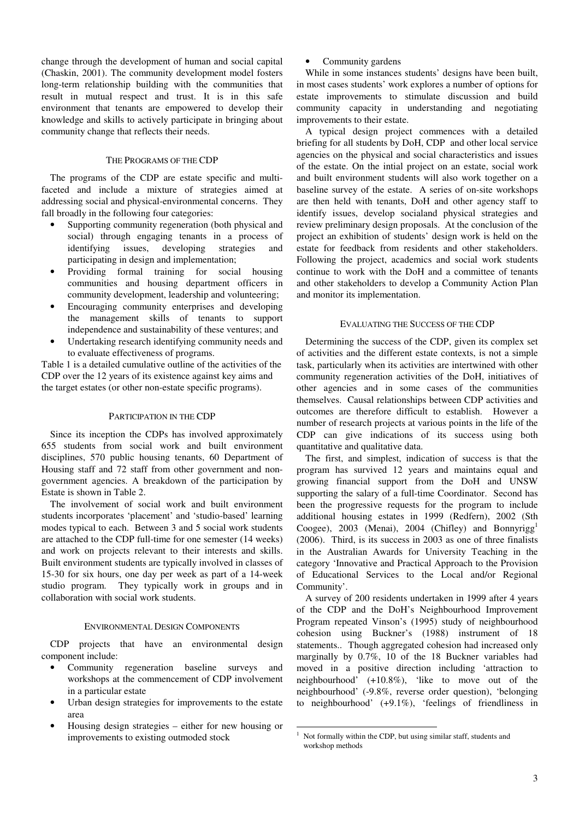change through the development of human and social capital (Chaskin, 2001). The community development model fosters long-term relationship building with the communities that result in mutual respect and trust. It is in this safe environment that tenants are empowered to develop their knowledge and skills to actively participate in bringing about community change that reflects their needs.

#### THE PROGRAMS OF THE CDP

The programs of the CDP are estate specific and multifaceted and include a mixture of strategies aimed at addressing social and physical-environmental concerns. They fall broadly in the following four categories:

- Supporting community regeneration (both physical and social) through engaging tenants in a process of identifying issues, developing strategies and participating in design and implementation;
- Providing formal training for social housing communities and housing department officers in community development, leadership and volunteering;
- Encouraging community enterprises and developing the management skills of tenants to support independence and sustainability of these ventures; and
- Undertaking research identifying community needs and to evaluate effectiveness of programs.

Table 1 is a detailed cumulative outline of the activities of the CDP over the 12 years of its existence against key aims and the target estates (or other non-estate specific programs).

#### PARTICIPATION IN THE CDP

Since its inception the CDPs has involved approximately 655 students from social work and built environment disciplines, 570 public housing tenants, 60 Department of Housing staff and 72 staff from other government and nongovernment agencies. A breakdown of the participation by Estate is shown in Table 2.

The involvement of social work and built environment students incorporates 'placement' and 'studio-based' learning modes typical to each. Between 3 and 5 social work students are attached to the CDP full-time for one semester (14 weeks) and work on projects relevant to their interests and skills. Built environment students are typically involved in classes of 15-30 for six hours, one day per week as part of a 14-week studio program. They typically work in groups and in collaboration with social work students.

#### ENVIRONMENTAL DESIGN COMPONENTS

CDP projects that have an environmental design component include:

- Community regeneration baseline surveys and workshops at the commencement of CDP involvement in a particular estate
- Urban design strategies for improvements to the estate area
- Housing design strategies either for new housing or improvements to existing outmoded stock

Community gardens

While in some instances students' designs have been built, in most cases students' work explores a number of options for estate improvements to stimulate discussion and build community capacity in understanding and negotiating improvements to their estate.

A typical design project commences with a detailed briefing for all students by DoH, CDP and other local service agencies on the physical and social characteristics and issues of the estate. On the intial project on an estate, social work and built environment students will also work together on a baseline survey of the estate. A series of on-site workshops are then held with tenants, DoH and other agency staff to identify issues, develop socialand physical strategies and review preliminary design proposals. At the conclusion of the project an exhibition of students' design work is held on the estate for feedback from residents and other stakeholders. Following the project, academics and social work students continue to work with the DoH and a committee of tenants and other stakeholders to develop a Community Action Plan and monitor its implementation.

#### EVALUATING THE SUCCESS OF THE CDP

Determining the success of the CDP, given its complex set of activities and the different estate contexts, is not a simple task, particularly when its activities are intertwined with other community regeneration activities of the DoH, initiatives of other agencies and in some cases of the communities themselves. Causal relationships between CDP activities and outcomes are therefore difficult to establish. However a number of research projects at various points in the life of the CDP can give indications of its success using both quantitative and qualitative data.

The first, and simplest, indication of success is that the program has survived 12 years and maintains equal and growing financial support from the DoH and UNSW supporting the salary of a full-time Coordinator. Second has been the progressive requests for the program to include additional housing estates in 1999 (Redfern), 2002 (Sth Coogee), 2003 (Menai), 2004 (Chifley) and Bonnyrigg<sup>1</sup> (2006). Third, is its success in 2003 as one of three finalists in the Australian Awards for University Teaching in the category 'Innovative and Practical Approach to the Provision of Educational Services to the Local and/or Regional Community'.

A survey of 200 residents undertaken in 1999 after 4 years of the CDP and the DoH's Neighbourhood Improvement Program repeated Vinson's (1995) study of neighbourhood cohesion using Buckner's (1988) instrument of 18 statements.. Though aggregated cohesion had increased only marginally by 0.7%, 10 of the 18 Buckner variables had moved in a positive direction including 'attraction to neighbourhood' (+10.8%), 'like to move out of the neighbourhood' (-9.8%, reverse order question), 'belonging to neighbourhood' (+9.1%), 'feelings of friendliness in

 $1$  Not formally within the CDP, but using similar staff, students and workshop methods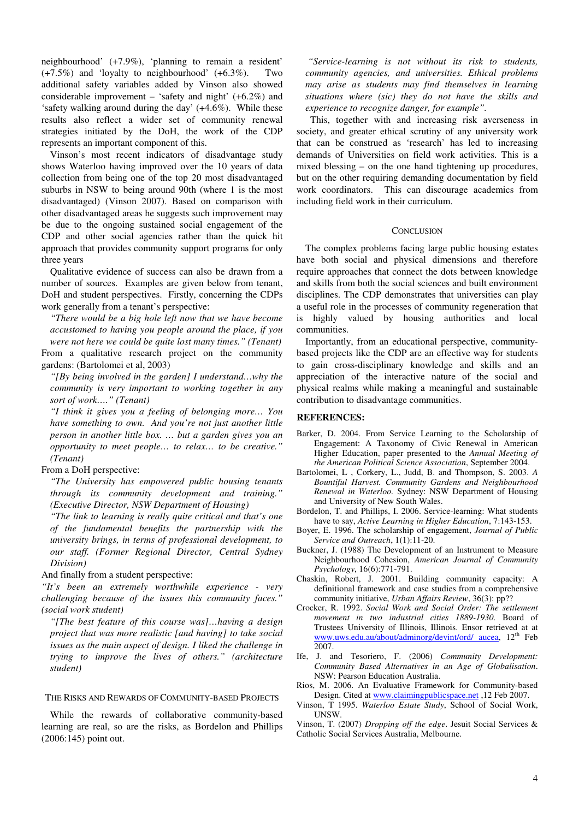neighbourhood' (+7.9%), 'planning to remain a resident' (+7.5%) and 'loyalty to neighbourhood' (+6.3%). Two additional safety variables added by Vinson also showed considerable improvement – 'safety and night' (+6.2%) and 'safety walking around during the day' (+4.6%). While these results also reflect a wider set of community renewal strategies initiated by the DoH, the work of the CDP represents an important component of this.

Vinson's most recent indicators of disadvantage study shows Waterloo having improved over the 10 years of data collection from being one of the top 20 most disadvantaged suburbs in NSW to being around 90th (where 1 is the most disadvantaged) (Vinson 2007). Based on comparison with other disadvantaged areas he suggests such improvement may be due to the ongoing sustained social engagement of the CDP and other social agencies rather than the quick hit approach that provides community support programs for only three years

Qualitative evidence of success can also be drawn from a number of sources. Examples are given below from tenant, DoH and student perspectives. Firstly, concerning the CDPs work generally from a tenant's perspective:

*"There would be a big hole left now that we have become accustomed to having you people around the place, if you were not here we could be quite lost many times." (Tenant)*

From a qualitative research project on the community gardens: (Bartolomei et al, 2003)

*"[By being involved in the garden] I understand…why the community is very important to working together in any sort of work…." (Tenant)*

*"I think it gives you a feeling of belonging more… You have something to own. And you're not just another little person in another little box. … but a garden gives you an opportunity to meet people… to relax… to be creative." (Tenant)*

#### From a DoH perspective:

*"The University has empowered public housing tenants through its community development and training." (Executive Director, NSW Department of Housing)*

*"The link to learning is really quite critical and that's one of the fundamental benefits the partnership with the university brings, in terms of professional development, to our staff. (Former Regional Director, Central Sydney Division)*

#### And finally from a student perspective:

*"It's been an extremely worthwhile experience - very challenging because of the issues this community faces." (social work student)*

*"[The best feature of this course was]…having a design project that was more realistic [and having] to take social issues as the main aspect of design. I liked the challenge in trying to improve the lives of others." (architecture student)*

#### THE RISKS AND REWARDS OF COMMUNITY-BASED PROJECTS

While the rewards of collaborative community-based learning are real, so are the risks, as Bordelon and Phillips (2006:145) point out.

*"Service-learning is not without its risk to students, community agencies, and universities. Ethical problems may arise as students may find themselves in learning situations where (sic) they do not have the skills and experience to recognize danger, for example".*

This, together with and increasing risk averseness in society, and greater ethical scrutiny of any university work that can be construed as 'research' has led to increasing demands of Universities on field work activities. This is a mixed blessing – on the one hand tightening up procedures, but on the other requiring demanding documentation by field work coordinators. This can discourage academics from including field work in their curriculum.

#### **CONCLUSION**

The complex problems facing large public housing estates have both social and physical dimensions and therefore require approaches that connect the dots between knowledge and skills from both the social sciences and built environment disciplines. The CDP demonstrates that universities can play a useful role in the processes of community regeneration that is highly valued by housing authorities and local communities.

Importantly, from an educational perspective, communitybased projects like the CDP are an effective way for students to gain cross-disciplinary knowledge and skills and an appreciation of the interactive nature of the social and physical realms while making a meaningful and sustainable contribution to disadvantage communities.

#### **REFERENCES:**

- Barker, D. 2004. From Service Learning to the Scholarship of Engagement: A Taxonomy of Civic Renewal in American Higher Education, paper presented to the *Annual Meeting of the American Political Science Association*, September 2004.
- Bartolomei, L , Corkery, L., Judd, B. and Thompson, S. 2003. *A Bountiful Harvest. Community Gardens and Neighbourhood Renewal in Waterloo.* Sydney: NSW Department of Housing and University of New South Wales.
- Bordelon, T. and Phillips, I. 2006. Service-learning: What students have to say, *Active Learning in Higher Education*, 7:143-153.
- Boyer, E. 1996. The scholarship of engagement, *Journal of Public Service and Outreach*, 1(1):11-20.
- Buckner, J. (1988) The Development of an Instrument to Measure Neighbourhood Cohesion, *American Journal of Community Psychology*, 16(6):771-791.
- Chaskin, Robert, J. 2001. Building community capacity: A definitional framework and case studies from a comprehensive community initiative, *Urban Affairs Review*, 36(3): pp??
- Crocker, R. 1992. *Social Work and Social Order: The settlement movement in two industrial cities 1889-1930.* Board of Trustees University of Illinois, Illinois. Ensor retrieved at at www.uws.edu.au/about/adminorg/devint/ord/ aucea, 12<sup>th</sup> Feb 2007.
- Ife, J. and Tesoriero, F. (2006) *Community Development: Community Based Alternatives in an Age of Globalisation*. NSW: Pearson Education Australia.
- Rios, M. 2006. An Evaluative Framework for Community-based Design. Cited at www.claimingpublicspace.net ,12 Feb 2007.
- Vinson, T 1995. *Waterloo Estate Study*, School of Social Work, UNSW.
- Vinson, T. (2007) *Dropping off the edge*. Jesuit Social Services & Catholic Social Services Australia, Melbourne.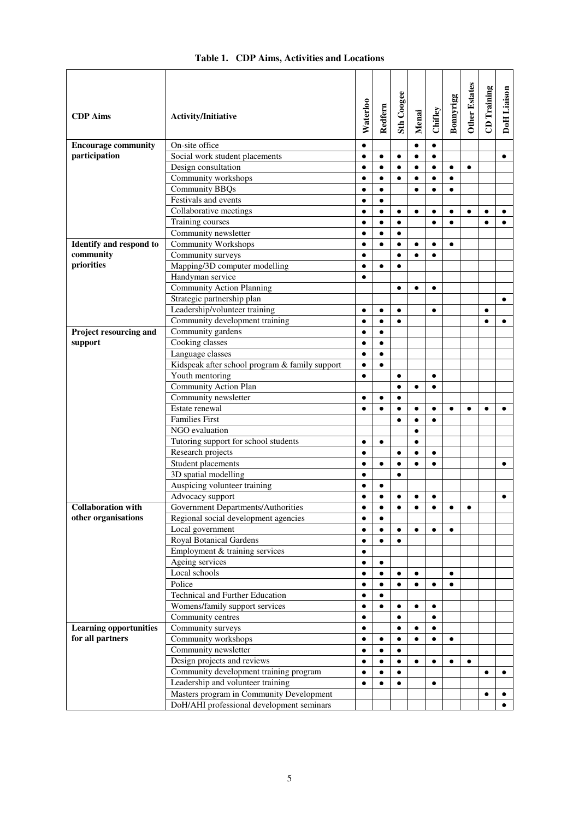| <b>CDP</b> Aims                                  | Activity/Initiative                                    | Waterloo  | Redfern   | Sth Coogee | Menai     | Chifley   | Bonnyrigg | <b>Other Estates</b> | <b>CD</b> Training | <b>DoH</b> Liaison |
|--------------------------------------------------|--------------------------------------------------------|-----------|-----------|------------|-----------|-----------|-----------|----------------------|--------------------|--------------------|
| <b>Encourage community</b>                       | On-site office                                         | $\bullet$ |           |            | $\bullet$ | $\bullet$ |           |                      |                    |                    |
| participation                                    | Social work student placements                         | $\bullet$ | $\bullet$ | $\bullet$  | $\bullet$ | $\bullet$ |           |                      |                    | $\bullet$          |
|                                                  | Design consultation                                    | $\bullet$ | $\bullet$ | $\bullet$  | $\bullet$ | $\bullet$ | $\bullet$ | $\bullet$            |                    |                    |
|                                                  | Community workshops                                    | $\bullet$ | $\bullet$ | $\bullet$  | $\bullet$ | $\bullet$ | $\bullet$ |                      |                    |                    |
|                                                  | <b>Community BBQs</b>                                  |           | $\bullet$ |            | ٠         |           | ٠         |                      |                    |                    |
|                                                  | Festivals and events                                   | $\bullet$ | $\bullet$ |            |           |           |           |                      |                    |                    |
|                                                  | Collaborative meetings                                 | $\bullet$ | $\bullet$ | $\bullet$  | $\bullet$ | $\bullet$ | $\bullet$ | $\bullet$            | $\bullet$          | $\bullet$          |
|                                                  | Training courses                                       |           | $\bullet$ | $\bullet$  |           | $\bullet$ | $\bullet$ |                      | $\bullet$          | $\bullet$          |
|                                                  | Community newsletter                                   | $\bullet$ | $\bullet$ | $\bullet$  |           |           |           |                      |                    |                    |
| Identify and respond to                          | <b>Community Workshops</b>                             | $\bullet$ | $\bullet$ | $\bullet$  | $\bullet$ | $\bullet$ | $\bullet$ |                      |                    |                    |
| community                                        | Community surveys                                      | $\bullet$ |           | $\bullet$  | $\bullet$ | $\bullet$ |           |                      |                    |                    |
| priorities                                       | Mapping/3D computer modelling                          | $\bullet$ | $\bullet$ | $\bullet$  |           |           |           |                      |                    |                    |
|                                                  | Handyman service                                       | $\bullet$ |           |            |           |           |           |                      |                    |                    |
|                                                  | <b>Community Action Planning</b>                       |           |           | $\bullet$  | $\bullet$ | $\bullet$ |           |                      |                    |                    |
|                                                  | Strategic partnership plan                             |           |           |            |           |           |           |                      |                    | $\bullet$          |
|                                                  | Leadership/volunteer training                          | $\bullet$ | $\bullet$ | $\bullet$  |           | $\bullet$ |           |                      | $\bullet$          |                    |
|                                                  | Community development training                         | $\bullet$ | $\bullet$ | $\bullet$  |           |           |           |                      | $\bullet$          | $\bullet$          |
| Project resourcing and                           | Community gardens                                      | $\bullet$ | $\bullet$ |            |           |           |           |                      |                    |                    |
| support                                          | Cooking classes                                        | $\bullet$ | $\bullet$ |            |           |           |           |                      |                    |                    |
|                                                  | Language classes                                       | $\bullet$ | $\bullet$ |            |           |           |           |                      |                    |                    |
|                                                  | Kidspeak after school program & family support         | $\bullet$ | $\bullet$ |            |           |           |           |                      |                    |                    |
|                                                  | Youth mentoring                                        | $\bullet$ |           | $\bullet$  |           | $\bullet$ |           |                      |                    |                    |
|                                                  | <b>Community Action Plan</b>                           |           |           | $\bullet$  | $\bullet$ | $\bullet$ |           |                      |                    |                    |
|                                                  | Community newsletter                                   | $\bullet$ | $\bullet$ | $\bullet$  |           |           |           |                      |                    |                    |
|                                                  | Estate renewal                                         | $\bullet$ | $\bullet$ | $\bullet$  | $\bullet$ | $\bullet$ | $\bullet$ | $\bullet$            | $\bullet$          | $\bullet$          |
|                                                  | <b>Families First</b>                                  |           |           | $\bullet$  | $\bullet$ | $\bullet$ |           |                      |                    |                    |
|                                                  | NGO evaluation                                         |           |           |            | $\bullet$ |           |           |                      |                    |                    |
|                                                  | Tutoring support for school students                   | $\bullet$ | $\bullet$ |            | $\bullet$ |           |           |                      |                    |                    |
|                                                  | Research projects                                      | $\bullet$ |           | $\bullet$  | $\bullet$ | $\bullet$ |           |                      |                    |                    |
|                                                  | Student placements                                     | $\bullet$ | $\bullet$ | $\bullet$  | $\bullet$ | $\bullet$ |           |                      |                    | ٠                  |
|                                                  | 3D spatial modelling                                   | $\bullet$ |           | $\bullet$  |           |           |           |                      |                    |                    |
|                                                  | Auspicing volunteer training                           | $\bullet$ |           |            |           |           |           |                      |                    |                    |
|                                                  | Advocacy support<br>Government Departments/Authorities | $\bullet$ | $\bullet$ | $\bullet$  | ٠         | $\bullet$ |           |                      |                    | $\bullet$          |
| <b>Collaboration</b> with<br>other organisations | Regional social development agencies                   | $\bullet$ | $\bullet$ |            |           |           |           |                      |                    |                    |
|                                                  | Local government                                       | $\bullet$ | $\bullet$ | $\bullet$  | $\bullet$ | $\bullet$ | $\bullet$ |                      |                    |                    |
|                                                  | <b>Royal Botanical Gardens</b>                         | $\bullet$ | $\bullet$ | $\bullet$  |           |           |           |                      |                    |                    |
|                                                  | Employment & training services                         | ٠         |           |            |           |           |           |                      |                    |                    |
|                                                  | Ageing services                                        | $\bullet$ | $\bullet$ |            |           |           |           |                      |                    |                    |
|                                                  | Local schools                                          | $\bullet$ | $\bullet$ | $\bullet$  | $\bullet$ |           | $\bullet$ |                      |                    |                    |
|                                                  | Police                                                 |           |           |            | $\bullet$ | $\bullet$ | $\bullet$ |                      |                    |                    |
|                                                  | Technical and Further Education                        | $\bullet$ |           |            |           |           |           |                      |                    |                    |
|                                                  | Womens/family support services                         | $\bullet$ | $\bullet$ | $\bullet$  | $\bullet$ | $\bullet$ |           |                      |                    |                    |
|                                                  | Community centres                                      | $\bullet$ |           | $\bullet$  |           | $\bullet$ |           |                      |                    |                    |
| <b>Learning opportunities</b>                    | Community surveys                                      | $\bullet$ |           | $\bullet$  | $\bullet$ | $\bullet$ |           |                      |                    |                    |
| for all partners                                 | Community workshops                                    | $\bullet$ | $\bullet$ | $\bullet$  | $\bullet$ | $\bullet$ | $\bullet$ |                      |                    |                    |
|                                                  | Community newsletter                                   | $\bullet$ | $\bullet$ | ٠          |           |           |           |                      |                    |                    |
|                                                  | Design projects and reviews                            |           | $\bullet$ | ٠          | $\bullet$ | $\bullet$ | $\bullet$ | $\bullet$            |                    |                    |
|                                                  | Community development training program                 | $\bullet$ |           |            |           |           |           |                      | $\bullet$          | ٠                  |
|                                                  | Leadership and volunteer training                      |           |           |            |           | ٠         |           |                      |                    |                    |
|                                                  | Masters program in Community Development               |           |           |            |           |           |           |                      |                    |                    |
|                                                  | DoH/AHI professional development seminars              |           |           |            |           |           |           |                      |                    | $\bullet$          |

### **Table 1. CDP Aims, Activities and Locations**